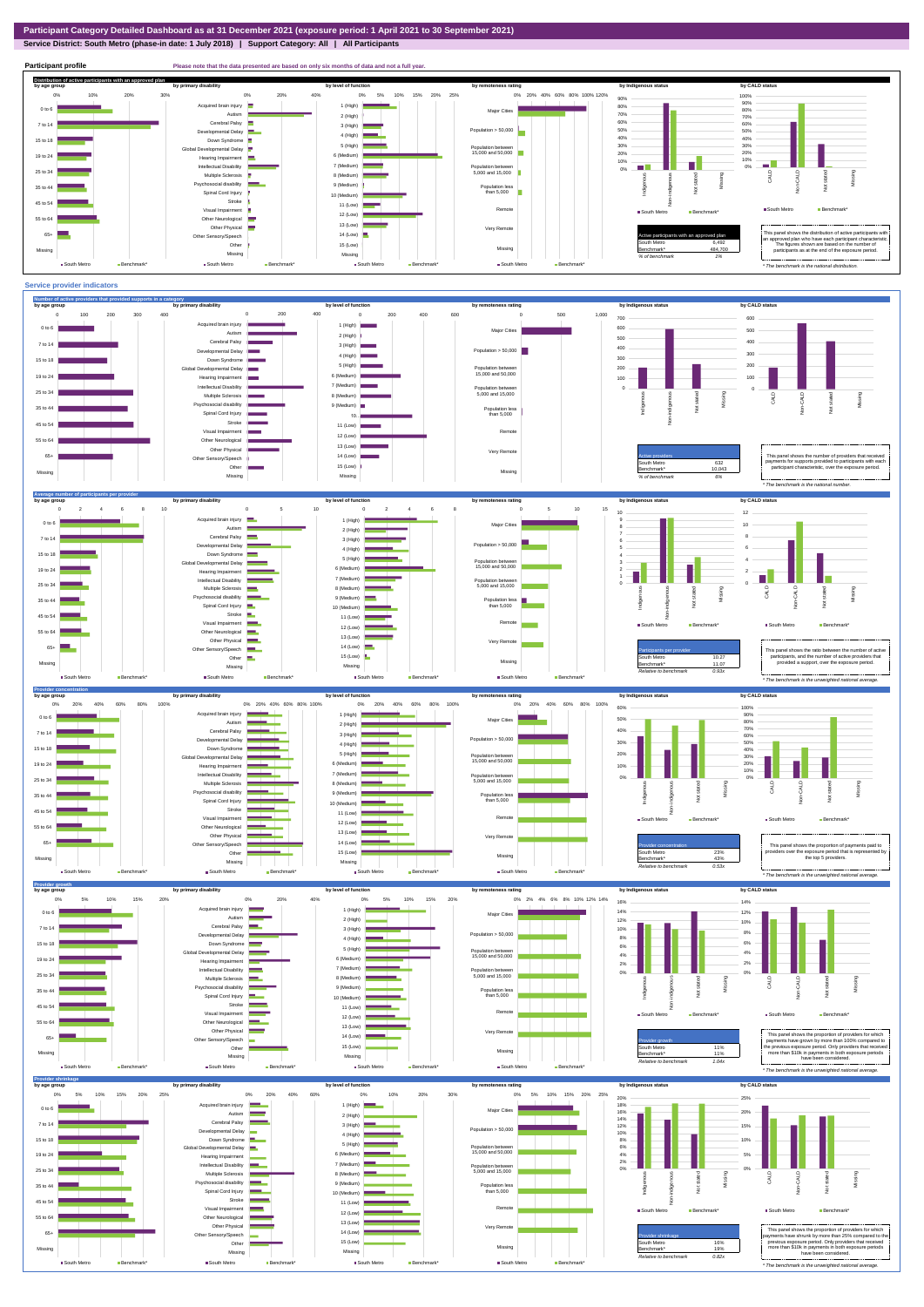## **Service District: South Metro (phase-in date: 1 July 2018) | Support Category: All | All Participants**



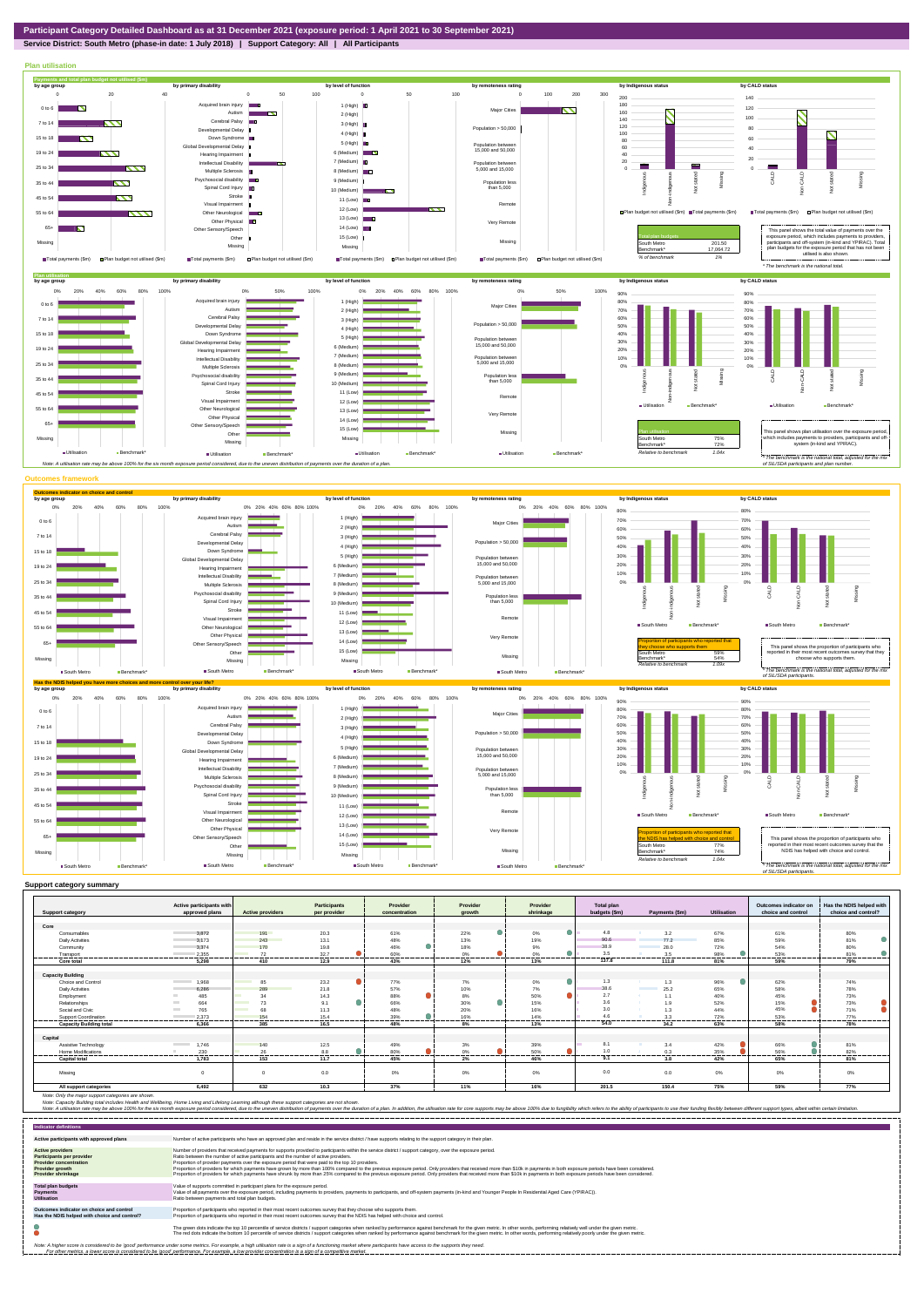**Service District: South Metro (phase-in date: 1 July 2018) | Support Category: All | All Participants**



| <b>Support category</b>        | Active participants with<br>approved plans | <b>Active providers</b>  | Participants<br>per provider | Provider<br>concentration | Provider<br>arowth         | Provider<br>shrinkage | <b>Total plan</b><br>budgets (\$m) | Payments (\$m)                   | <b>Utilisation</b> | Outcomes indicator on<br>choice and control | Has the NDIS helped with<br>choice and control? |
|--------------------------------|--------------------------------------------|--------------------------|------------------------------|---------------------------|----------------------------|-----------------------|------------------------------------|----------------------------------|--------------------|---------------------------------------------|-------------------------------------------------|
| Core                           |                                            |                          |                              |                           |                            |                       |                                    |                                  |                    |                                             |                                                 |
| Consumables                    | 3,872                                      | 191                      | 20.3                         | 61%                       | 22%                        | 0%                    | 4.8                                | 3.2                              | 67%                | 61%                                         | 80%                                             |
| <b>Daily Activities</b>        | 3.173                                      | 243                      | 13.1                         | 48%                       | 13%                        | 19%                   | 90.6                               | 77.2                             | 85%                | 59%                                         | $\bullet$<br>81%                                |
| Community                      | 3.374                                      | 170                      | 19.8                         | 46%                       | 18%                        | 9%                    | 38.9                               | 28.0                             | 72%                | 54%                                         | 80%                                             |
| Transport                      | 2,355                                      | 72                       | 32.7                         | 60%                       | 0%                         | 0%                    | 3.5                                | 3.5                              | 98%                | 53%                                         | 81%                                             |
| Core total                     | 5.298                                      | 410                      | 12.9                         | 43%                       | 12%                        | 13%                   | 137.8                              | 111.8                            | 81%                | 59%                                         | 79%                                             |
|                                |                                            |                          |                              |                           |                            |                       |                                    |                                  |                    |                                             |                                                 |
| <b>Capacity Building</b>       |                                            |                          |                              |                           |                            |                       |                                    |                                  |                    |                                             |                                                 |
| Choice and Control             | <b>Contract Contract</b><br>1.968          | 85                       | 23.2                         | 77%                       | 7%                         | о<br>0%               | 1.3                                | 1.3                              | 96%                | 62%                                         | 74%                                             |
| <b>Daily Activities</b>        | 6.286                                      | 289                      | 21.8                         | 57%                       | 10%                        | 7%                    | 38.6                               | 25.2<br><b>Contract Contract</b> | 65%                | 58%                                         | 78%                                             |
| Employment                     | 485                                        | 34<br>a an               | 14.3                         | 88%                       | 8%                         | ●<br>50%              | 2.7                                | 1.1                              | 40%                | 45%                                         | 73%                                             |
| Relationships                  | 664<br><b>Contract</b>                     | 73                       | 9.1                          | 66%                       | 30%                        | 15%                   | 3.6                                | 1.9                              | 52%                | 15%                                         | 73%                                             |
| Social and Civic               | 765<br><b>Contract</b>                     | 68                       | 11.3                         | 48%                       | 20%                        | 16%                   | 3.0                                | 1.3                              | 44%                | 45%                                         | 71%                                             |
| Support Coordination           | 2.373                                      | 154                      | 15.4                         | 39%                       | 16%                        | 14%                   | 46                                 | 3.3                              | 72%                | 53%                                         | 77%                                             |
| <b>Capacity Building total</b> | 6.366                                      | ------<br>385            | -------<br>16.5              | 48%                       | 8%                         | 13%                   | 54.0                               | <br>34.2                         | 63%                | ------<br>58%                               | 78%                                             |
|                                |                                            |                          |                              |                           |                            |                       |                                    |                                  |                    |                                             |                                                 |
| Capital                        |                                            |                          |                              |                           |                            |                       |                                    |                                  |                    |                                             |                                                 |
| Assistive Technology           | 1.746<br><b>Contract Contract</b>          | 140                      | 12.5                         | 49%                       | 3%                         | 39%                   | 8.1                                | 3.4                              | 42%                | 66%                                         | 81%                                             |
| Home Modifications             | 230<br>                                    | 26<br>. . <del>. .</del> | 8.8<br>. <del>.</del>        | 80%<br>-------            | $\bigcap$ <sup>O</sup><br> | 50%                   |                                    | 0.3<br>---------                 | 35%<br>-------     | 56%<br>.                                    | 82%<br>-------                                  |
| <b>Capital total</b>           | 1.783                                      | 153                      | 11.7                         | 45%                       | 2%                         | 46%                   | 9.1                                | 3.8                              | 42%                | 65%                                         | 81%                                             |
| Missina                        | $\Omega$                                   | $\Omega$                 | 0.0                          | 0%                        | 0%                         | 0%                    | 0.0                                | 0.0                              | $0\%$              | 0%                                          | 0%                                              |
| All support categories         | 6,492                                      | 632                      | 10.3                         | 37%                       | 11%                        | 16%                   | 201.5                              | 150.4                            | 75%                | 59%                                         | 77%                                             |

Note: Only the major support categories are shown.<br>Note: Capacity Building total individual Wellbeing, Home Living and Lifelong Learning although these support categories are not shown.<br>Note: A utilisation rate may be abov

| <b>Indicator definitions</b>                                                                                                                        |                                                                                                                                                                                                                                                                                                                                                                                                                                                                                                                                                                                                                                                                                                                                                                                                                 |
|-----------------------------------------------------------------------------------------------------------------------------------------------------|-----------------------------------------------------------------------------------------------------------------------------------------------------------------------------------------------------------------------------------------------------------------------------------------------------------------------------------------------------------------------------------------------------------------------------------------------------------------------------------------------------------------------------------------------------------------------------------------------------------------------------------------------------------------------------------------------------------------------------------------------------------------------------------------------------------------|
| Active participants with approved plans                                                                                                             | Number of active participants who have an approved plan and reside in the service district / have supports relating to the support category in their plan.                                                                                                                                                                                                                                                                                                                                                                                                                                                                                                                                                                                                                                                      |
| <b>Active providers</b><br><b>Participants per provider</b><br><b>Provider concentration</b><br><b>Provider growth</b><br><b>Provider shrinkage</b> | Number of providers that received payments for supports provided to participants within the service district / support category, over the exposure period.<br>Ratio between the number of active participants and the number of active providers.<br>Proportion of provider payments over the exposure period that were paid to the top 10 providers.<br>Proportion of providers for which payments have grown by more than 100% compared to the previous exposure period. Only providers that received more than \$10k in payments in both exposure periods have been considered.<br>Proportion of providers for which payments have shrunk by more than 25% compared to the previous exposure period. Only providers that received more than \$10k in payments in both exposure periods have been considered. |
| <b>Total plan budgets</b><br><b>Payments</b><br><b>Utilisation</b>                                                                                  | Value of supports committed in participant plans for the exposure period.<br>Value of all payments over the exposure period, including payments to providers, payments to participants, and off-system payments (in-kind and Younger People In Residential Aged Care (YPIRAC)).<br>Ratio between payments and total plan budgets.                                                                                                                                                                                                                                                                                                                                                                                                                                                                               |
| Outcomes indicator on choice and control<br>Has the NDIS helped with choice and control?                                                            | Proportion of participants who reported in their most recent outcomes survey that they choose who supports them.<br>Proportion of participants who reported in their most recent outcomes survey that the NDIS has helped with choice and control.                                                                                                                                                                                                                                                                                                                                                                                                                                                                                                                                                              |
|                                                                                                                                                     | The green dots indicate the top 10 percentile of service districts / support categories when ranked by performance against benchmark for the given metric. In other words, performing relatively well under the given metric.<br>The red dots indicate the bottom 10 percentile of service districts / support categories when ranked by performance against benchmark for the given metric. In other words, performing relatively poorly under the given metri                                                                                                                                                                                                                                                                                                                                                 |
|                                                                                                                                                     | Note: A higher score is considered to be 'good' performance under some metrics. For example, a high utilisation rate is a sign of a functioning market where participants have access to the supports they need.<br>For other metrics, a lower score is considered to be 'good' performance. For example, a low provider concentration is a sign of a competitive market.                                                                                                                                                                                                                                                                                                                                                                                                                                       |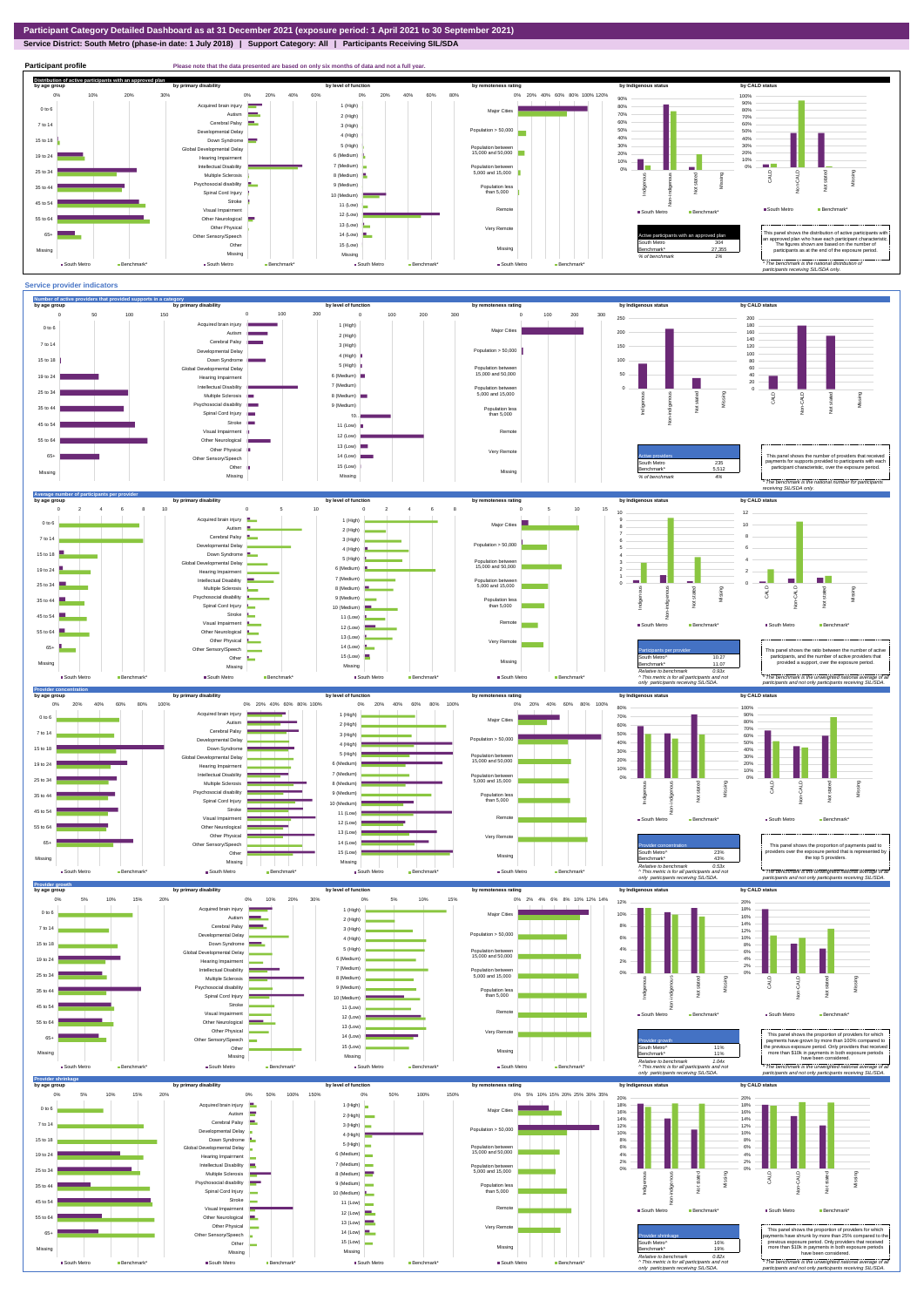**Service District: South Metro (phase-in date: 1 July 2018) | Support Category: All | Participants Receiving SIL/SDA**



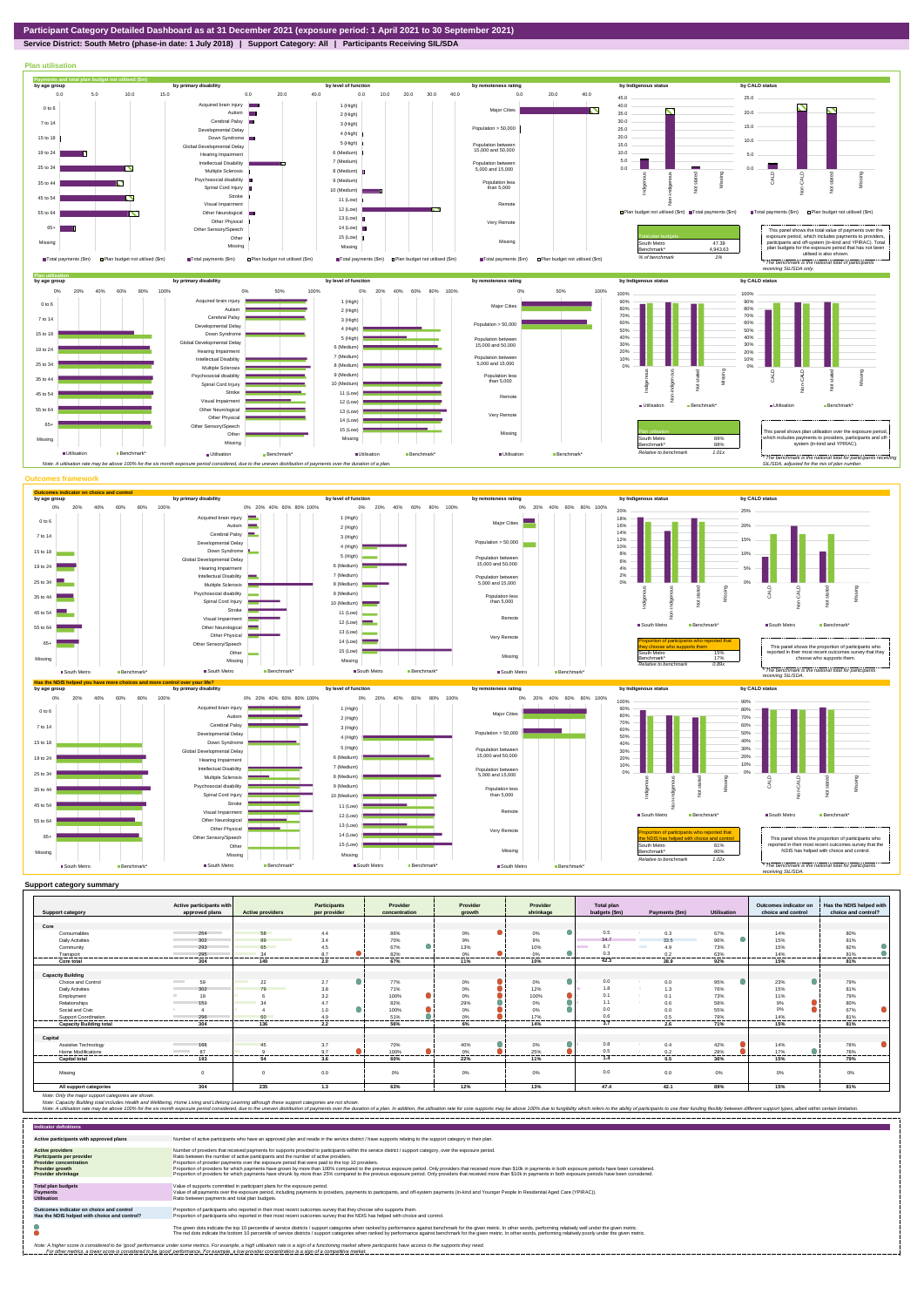

## **Service District: South Metro (phase-in date: 1 July 2018) | Support Category: All | Participants Receiving SIL/SDA**



| <b>Support category</b>        | Active participants with<br>approved plans | <b>Active providers</b> | <b>Participants</b><br>per provider | Provider<br>concentration | Provider<br>arowth | Provider<br>shrinkage | <b>Total plan</b><br>budgets (\$m) | Payments (\$m)        | <b>Utilisation</b> | Outcomes indicator on<br>choice and control | Has the NDIS helped with<br>choice and control? |
|--------------------------------|--------------------------------------------|-------------------------|-------------------------------------|---------------------------|--------------------|-----------------------|------------------------------------|-----------------------|--------------------|---------------------------------------------|-------------------------------------------------|
|                                |                                            |                         |                                     |                           |                    |                       |                                    |                       |                    |                                             |                                                 |
| Core                           |                                            |                         |                                     |                           |                    |                       |                                    |                       |                    |                                             |                                                 |
| Consumables                    | 254                                        | 58                      | 4.4                                 | 86%                       | 0%                 | 0%                    | 0.5                                | 0.3                   | 67%                | 14%                                         | 80%                                             |
| <b>Daily Activities</b>        | 302                                        | 89                      | 3.4                                 | 70%                       | 9%                 | 9%                    | 34.7                               | 33.5                  | 96%                | 15%                                         | 81%                                             |
| Community                      | 293                                        | 65                      | 4.5                                 | 67%                       | 13%                | 10%                   | 6.7                                | <b>Contract</b><br>49 | 73%                | 15%                                         | 82%                                             |
| Transport                      | 295                                        | 34                      | 8.7                                 | 82%                       | 0%                 | 0%                    | 0.3                                | 0.2                   | 63%                | 14%                                         | 81%                                             |
| .<br><b>Core total</b>         | .<br>304                                   | .<br>149                | <br>2.0                             | .<br>67%                  | ---------<br>11%   | .<br>10%              | .<br>42.3                          | <br>38.9              | .<br>92%           | .<br>15%                                    | .<br>81%                                        |
|                                |                                            |                         |                                     |                           |                    |                       |                                    |                       |                    |                                             |                                                 |
| <b>Capacity Building</b>       |                                            |                         |                                     |                           |                    |                       |                                    |                       |                    |                                             |                                                 |
| Choice and Control             | 59<br><b>Contract</b>                      | 22                      | 2.7                                 | 77%                       | 0%                 | 0%                    | 0.0                                | 0.0                   | 95%                | 23%                                         | 79%                                             |
| <b>Daily Activities</b>        | 302                                        | 79                      | 3.8                                 | 71%                       | 0%                 | 12%                   | 1.8                                | 1.3                   | 76%                | 15%                                         | 81%                                             |
| Employment                     | 19                                         |                         | 3.2                                 | 100%                      | 0%                 | 100%                  | 0.1                                | 0.1                   | 73%                | 11%                                         | 79%                                             |
| Relationships                  | 159                                        |                         | 4.7                                 | 82%                       | 29%                | 0%                    | 1.1                                | 0.6                   | 58%                | 9%                                          | 80%                                             |
| Social and Civic               |                                            |                         | 1.0                                 | 100%                      | 0%                 | 0%                    | 0.0                                | 0.0                   | 55%                | 0%                                          | 67%                                             |
| Support Coordination           | 296<br>                                    | 60<br>.                 | 4.9<br>-------                      | 51%                       | 0%                 | 17%                   | 0.6<br>.                           | 0.5                   | 79%                | 14%<br>.                                    | 81%<br>                                         |
| <b>Capacity Building total</b> | 304                                        | 136                     | 2.2                                 | 56%                       | .<br>6%            | .<br>14%              | 3.7                                | <br>2.6               | ------<br>71%      | 15%                                         | 81%                                             |
| Capital                        |                                            |                         |                                     |                           |                    |                       |                                    |                       |                    |                                             |                                                 |
| Assistive Technology           | 168                                        | 45                      | 3.7                                 | 70%                       | 40%                | 0%                    | 0.8                                | 0.4                   | 42%                | 14%                                         | 78%                                             |
| Home Modifications             | 87<br><b>Contract Contract</b>             |                         | 9.7                                 | 100%                      | 0%                 | 25%                   | 0.5                                | 0.2                   | 28%                | 17%                                         | 78%                                             |
| <b>Capital tota</b>            | 193                                        | .<br>54                 | <br>3.6                             | .<br>60%                  | .<br>22%           | --------<br>11%       | .<br>1.4                           | ---------<br>0.5      | .<br>36%           | --------<br>15%                             | <br>79%                                         |
| Missing                        |                                            |                         | 0.0                                 | 0%                        | 0%                 | 0%                    | 0.0                                | 0.0                   | 0%                 | 0%                                          | 0%                                              |
| All support categories         | 304                                        | 235                     | 1.3                                 | 63%                       | 12%                | 13%                   | 47.4                               | 42.1                  | 89%                | 15%                                         | 81%                                             |

| <b>Indicator definitions</b>                                                                                                                 |                                                                                                                                                                                                                                                                                                                                                                                                                                                                                                                                                                                                                                                                                                                                                                                                                 |
|----------------------------------------------------------------------------------------------------------------------------------------------|-----------------------------------------------------------------------------------------------------------------------------------------------------------------------------------------------------------------------------------------------------------------------------------------------------------------------------------------------------------------------------------------------------------------------------------------------------------------------------------------------------------------------------------------------------------------------------------------------------------------------------------------------------------------------------------------------------------------------------------------------------------------------------------------------------------------|
| Active participants with approved plans                                                                                                      | Number of active participants who have an approved plan and reside in the service district / have supports relating to the support category in their plan.                                                                                                                                                                                                                                                                                                                                                                                                                                                                                                                                                                                                                                                      |
| <b>Active providers</b><br>Participants per provider<br><b>Provider concentration</b><br><b>Provider growth</b><br><b>Provider shrinkage</b> | Number of providers that received payments for supports provided to participants within the service district / support category, over the exposure period,<br>Ratio between the number of active participants and the number of active providers.<br>Proportion of provider payments over the exposure period that were paid to the top 10 providers.<br>Proportion of providers for which payments have grown by more than 100% compared to the previous exposure period. Only providers that received more than \$10k in payments in both exposure periods have been considered.<br>Proportion of providers for which payments have shrunk by more than 25% compared to the previous exposure period. Only providers that received more than \$10k in payments in both exposure periods have been considered. |
| <b>Total plan budgets</b><br>Payments<br><b>Utilisation</b>                                                                                  | Value of supports committed in participant plans for the exposure period.<br>Value of all payments over the exposure period, including payments to providers, payments to participants, and off-system payments (in-kind and Younger People In Residential Aged Care (YPIRAC)).<br>Ratio between payments and total plan budgets.                                                                                                                                                                                                                                                                                                                                                                                                                                                                               |
| Outcomes indicator on choice and control<br>Has the NDIS helped with choice and control?                                                     | Proportion of participants who reported in their most recent outcomes survey that they choose who supports them.<br>Proportion of participants who reported in their most recent outcomes survey that the NDIS has helped with choice and control.                                                                                                                                                                                                                                                                                                                                                                                                                                                                                                                                                              |
|                                                                                                                                              | The green dots indicate the top 10 percentile of service districts / support categories when ranked by performance against benchmark for the given metric. In other words, performing relatively well under the given metric.<br>The red dots indicate the bottom 10 percentile of service districts / support categories when ranked by performance against benchmark for the given metric. In other words, performing relatively poorly under the given metri                                                                                                                                                                                                                                                                                                                                                 |
|                                                                                                                                              | Note: A higher score is considered to be 'good' performance under some metrics. For example, a high utilisation rate is a sign of a functioning market where participants have access to the supports they need.<br>For other metrics, a lower score is considered to be 'good' performance. For example, a low provider concentration is a sign of a competitive market.                                                                                                                                                                                                                                                                                                                                                                                                                                       |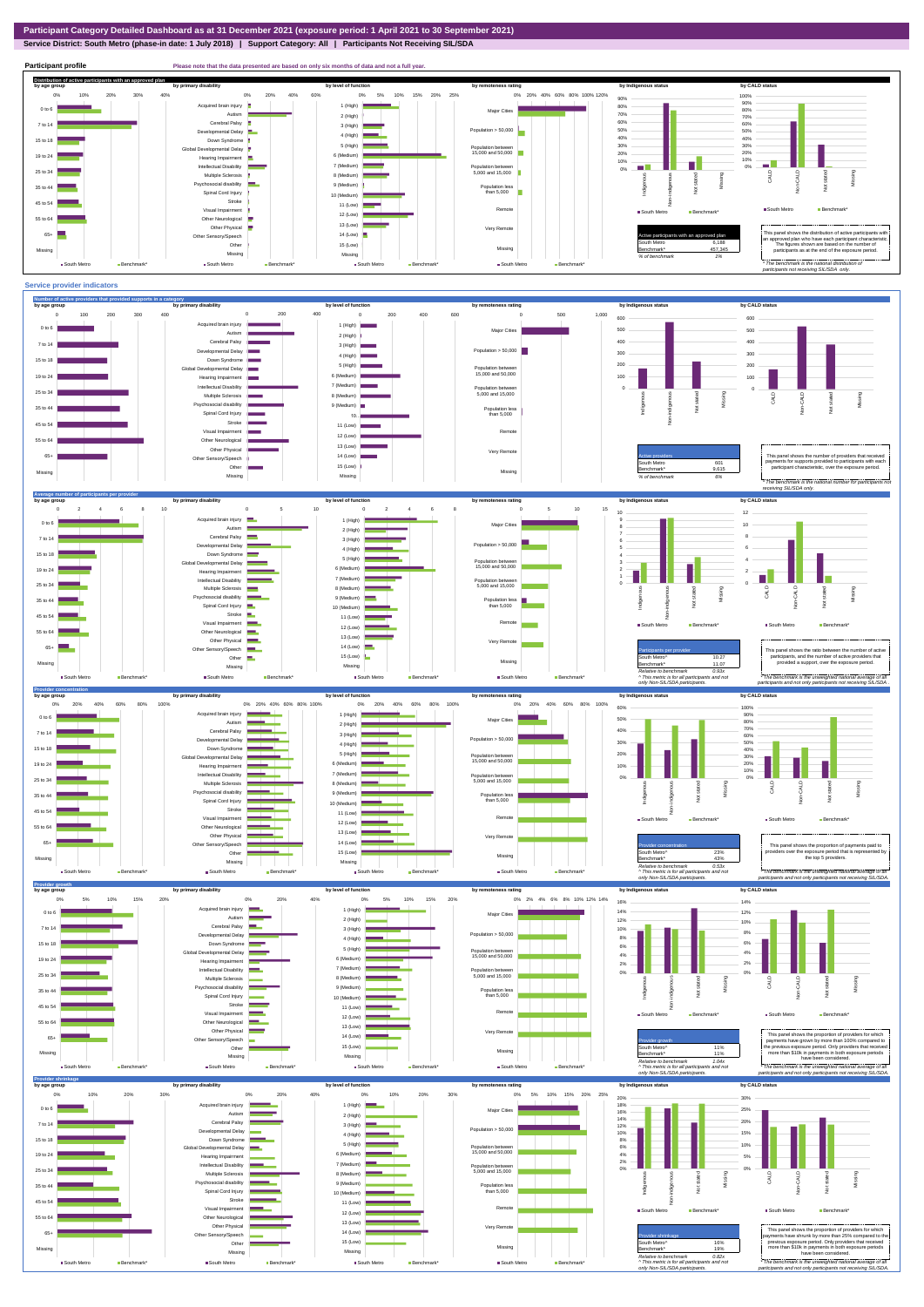**Service District: South Metro (phase-in date: 1 July 2018) | Support Category: All | Participants Not Receiving SIL/SDA**